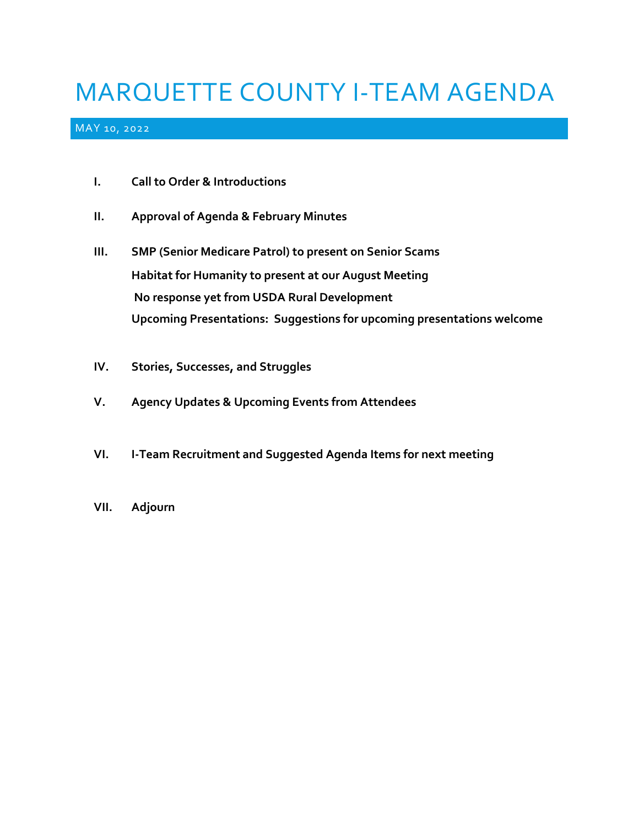# MARQUETTE COUNTY I-TEAM AGENDA

#### MAY 10, 2022

- **I. Call to Order & Introductions**
- **II. Approval of Agenda & February Minutes**
- **III. SMP (Senior Medicare Patrol) to present on Senior Scams Habitat for Humanity to present at our August Meeting No response yet from USDA Rural Development Upcoming Presentations: Suggestions for upcoming presentations welcome**
- **IV. Stories, Successes, and Struggles**
- **V. Agency Updates & Upcoming Events from Attendees**
- **VI. I-Team Recruitment and Suggested Agenda Items for next meeting**
- **VII. Adjourn**